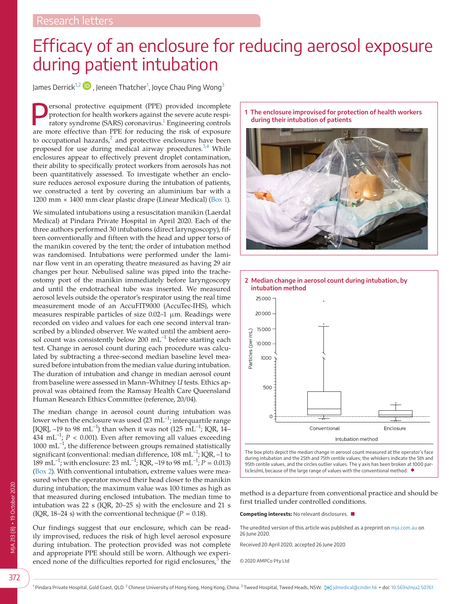## Efficacy of an enclosure for reducing aerosol exposure during patient intubation

James Derrick<sup>[1,2](#page-0-0)</sup>  $\blacksquare$  , Jeneen Thatcher $^1$  $^1$ , Joyce Chau Ping Wong $^3$  $^3$ 

ersonal protective equipment (PPE) provided incomplete protection for health workers against the severe acute respiratory syndrome (SARS) coronavirus.<sup>1</sup> Engineering controls are more effective than PPE for reducing the risk of exposure to occupational hazards, $^2$  $^2$  and protective enclosures have been proposed for use during medical airway procedures.<sup>[3,4](#page-1-2)</sup> While enclosures appear to effectively prevent droplet contamination, their ability to specifically protect workers from aerosols has not been quantitatively assessed. To investigate whether an enclosure reduces aerosol exposure during the intubation of patients, we constructed a tent by covering an aluminium bar with a 1200 mm × 1400 mm clear plastic drape (Linear Medical) [\(Box 1\)](#page-0-2).

We simulated intubations using a resuscitation manikin (Laerdal Medical) at Pindara Private Hospital in April 2020. Each of the three authors performed 30 intubations (direct laryngoscopy), fifteen conventionally and fifteen with the head and upper torso of the manikin covered by the tent; the order of intubation method was randomised. Intubations were performed under the laminar flow vent in an operating theatre measured as having 29 air changes per hour. Nebulised saline was piped into the tracheostomy port of the manikin immediately before laryngoscopy and until the endotracheal tube was inserted. We measured aerosol levels outside the operator's respirator using the real time measurement mode of an AccuFIT9000 (AccuTec-IHS), which measures respirable particles of size 0.02–1 μm. Readings were recorded on video and values for each one second interval transcribed by a blinded observer. We waited until the ambient aerosol count was consistently below 200 mL<sup>-1</sup> before starting each test. Change in aerosol count during each procedure was calculated by subtracting a three-second median baseline level measured before intubation from the median value during intubation. The duration of intubation and change in median aerosol count from baseline were assessed in Mann–Whitney *U* tests. Ethics approval was obtained from the Ramsay Health Care Queensland Human Research Ethics Committee (reference, 20/04).

The median change in aerosol count during intubation was lower when the enclosure was used (23 mL<sup>-1</sup>; interquartile range [IQR], –19 to 98 mL<sup>-1</sup>) than when it was not (125 mL<sup>-1</sup>; IQR, 14– 434 mL<sup>-1</sup>;  $P < 0.001$ ). Even after removing all values exceeding  $1000\,\,{\rm mL}^{-1}$ , the difference between groups remained statistically significant (conventional: median difference, 108 mL−1; IQR, –1 to 189 mL−1; with enclosure: 23 mL−1; IQR, –19 to 98 mL−1; *P* = 0.013) [\(Box 2\)](#page-0-3). With conventional intubation, extreme values were measured when the operator moved their head closer to the manikin during intubation; the maximum value was 100 times as high as that measured during enclosed intubation. The median time to intubation was 22 s (IQR, 20–25 s) with the enclosure and 21 s (IQR, 18–24 s) with the conventional technique ( $P = 0.18$ ).

<span id="page-0-0"></span>Our findings suggest that our enclosure, which can be readily improvised, reduces the risk of high level aerosol exposure during intubation. The protection provided was not complete and appropriate PPE should still be worn. Although we experienced none of the difficulties reported for rigid enclosures, $\frac{5}{6}$  $\frac{5}{6}$  $\frac{5}{6}$  the

<span id="page-0-2"></span>



<span id="page-0-3"></span>

The box plots depict the median change in aerosol count measured at the operator's face during intubation and the 25th and 75th centile values; the whiskers indicate the 5th and 95th centile values, and the circles outlier values. The y axis has been broken at 1000 particles/mL because of the large range of values with the conventional method. ◆

method is a departure from conventional practice and should be first trialled under controlled conditions.

**Competing interests:** No relevant disclosures. ■

The unedited version of this article was published as a preprint on [mja.com.au](http://mja.com.au) on 26 June 2020.

Received 20 April 2020, accepted 26 June 2020

<span id="page-0-1"></span>© 2020 AMPCo Pty Ltd